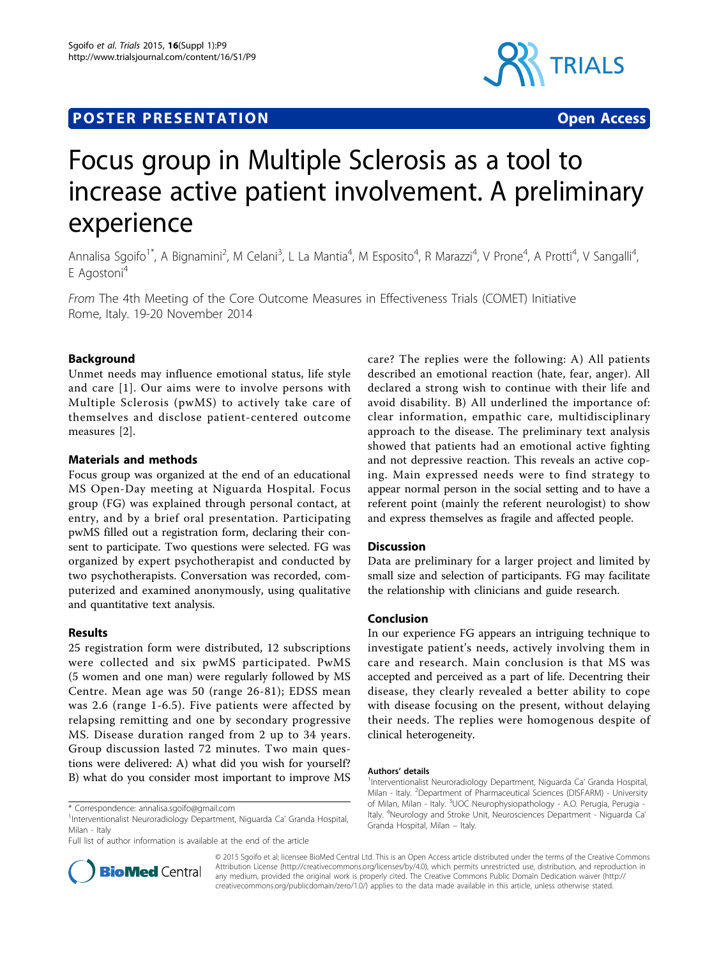# **POSTER PRESENTATION CONSUMING ACCESS**



# Focus group in Multiple Sclerosis as a tool to increase active patient involvement. A preliminary experience

Annalisa Sgoifo<sup>1\*</sup>, A Bignamini<sup>2</sup>, M Celani<sup>3</sup>, L La Mantia<sup>4</sup>, M Esposito<sup>4</sup>, R Marazzi<sup>4</sup>, V Prone<sup>4</sup>, A Protti<sup>4</sup>, V Sangalli<sup>4</sup> , E Agostoni<sup>4</sup>

From The 4th Meeting of the Core Outcome Measures in Effectiveness Trials (COMET) Initiative Rome, Italy. 19-20 November 2014

# Background

Unmet needs may influence emotional status, life style and care [[1](#page-1-0)]. Our aims were to involve persons with Multiple Sclerosis (pwMS) to actively take care of themselves and disclose patient-centered outcome measures [[2\]](#page-1-0).

## Materials and methods

Focus group was organized at the end of an educational MS Open-Day meeting at Niguarda Hospital. Focus group (FG) was explained through personal contact, at entry, and by a brief oral presentation. Participating pwMS filled out a registration form, declaring their consent to participate. Two questions were selected. FG was organized by expert psychotherapist and conducted by two psychotherapists. Conversation was recorded, computerized and examined anonymously, using qualitative and quantitative text analysis.

#### Results

25 registration form were distributed, 12 subscriptions were collected and six pwMS participated. PwMS (5 women and one man) were regularly followed by MS Centre. Mean age was 50 (range 26-81); EDSS mean was 2.6 (range 1-6.5). Five patients were affected by relapsing remitting and one by secondary progressive MS. Disease duration ranged from 2 up to 34 years. Group discussion lasted 72 minutes. Two main questions were delivered: A) what did you wish for yourself? B) what do you consider most important to improve MS



# Discussion

Data are preliminary for a larger project and limited by small size and selection of participants. FG may facilitate the relationship with clinicians and guide research.

#### Conclusion

In our experience FG appears an intriguing technique to investigate patient's needs, actively involving them in care and research. Main conclusion is that MS was accepted and perceived as a part of life. Decentring their disease, they clearly revealed a better ability to cope with disease focusing on the present, without delaying their needs. The replies were homogenous despite of clinical heterogeneity.

#### Authors' details <sup>1</sup>



© 2015 Sgoifo et al; licensee BioMed Central Ltd. This is an Open Access article distributed under the terms of the Creative Commons Attribution License [\(http://creativecommons.org/licenses/by/4.0](http://creativecommons.org/licenses/by/4.0)), which permits unrestricted use, distribution, and reproduction in any medium, provided the original work is properly cited. The Creative Commons Public Domain Dedication waiver [\(http://](http://creativecommons.org/publicdomain/zero/1.0/) [creativecommons.org/publicdomain/zero/1.0/](http://creativecommons.org/publicdomain/zero/1.0/)) applies to the data made available in this article, unless otherwise stated.

<sup>\*</sup> Correspondence: [annalisa.sgoifo@gmail.com](mailto:annalisa.sgoifo@gmail.com)

<sup>&</sup>lt;sup>1</sup>Interventionalist Neuroradiology Department, Niguarda Ca' Granda Hospital, Milan - Italy

Full list of author information is available at the end of the article

<sup>&</sup>lt;sup>1</sup>Interventionalist Neuroradiology Department, Niguarda Ca' Granda Hospital, Milan - Italy. <sup>2</sup>Department of Pharmaceutical Sciences (DISFARM) - University of Milan, Milan - Italy. <sup>3</sup>UOC Neurophysiopathology - A.O. Perugia, Perugia -Italy. <sup>4</sup>Neurology and Stroke Unit, Neurosciences Department - Niguarda Ca' Granda Hospital, Milan – Italy.